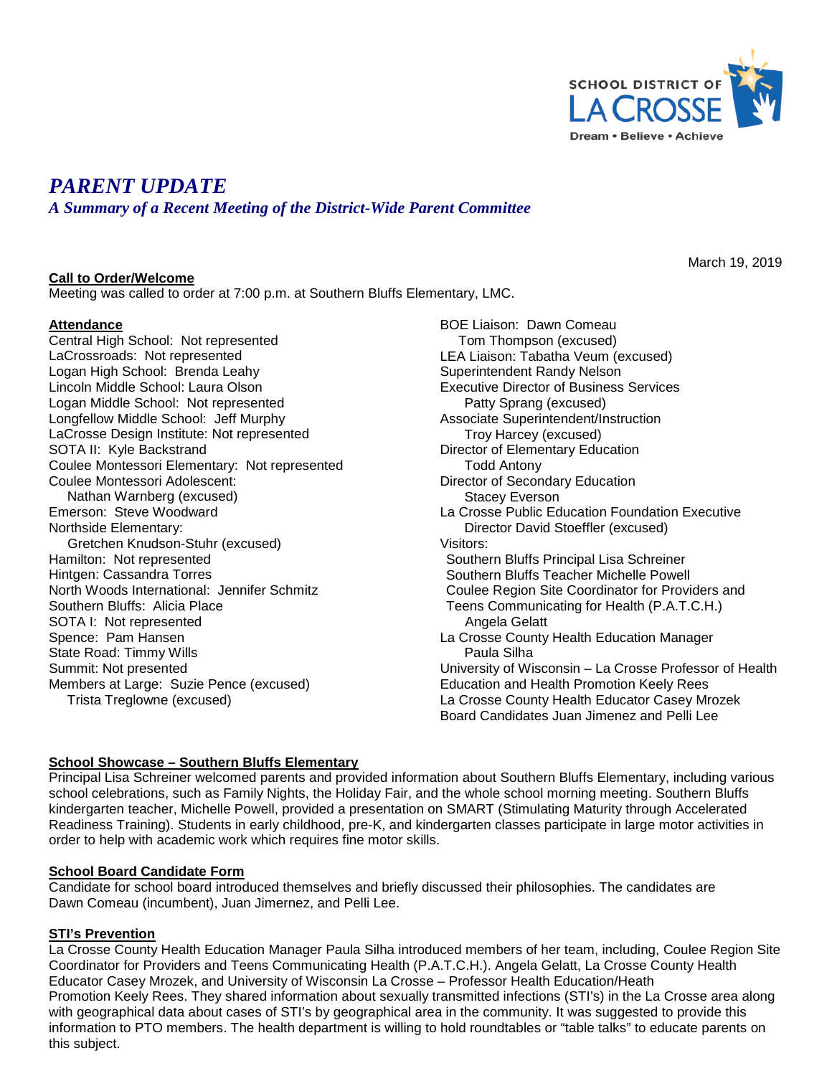

# *PARENT UPDATE*

*A Summary of a Recent Meeting of the District-Wide Parent Committee*

#### **Call to Order/Welcome**

Meeting was called to order at 7:00 p.m. at Southern Bluffs Elementary, LMC.

#### **Attendance**

Central High School: Not represented LaCrossroads: Not represented Logan High School: Brenda Leahy Lincoln Middle School: Laura Olson Logan Middle School: Not represented Longfellow Middle School: Jeff Murphy LaCrosse Design Institute: Not represented SOTA II: Kyle Backstrand Coulee Montessori Elementary: Not represented Coulee Montessori Adolescent: Nathan Warnberg (excused) Emerson: Steve Woodward Northside Elementary: Gretchen Knudson-Stuhr (excused) Hamilton: Not represented Hintgen: Cassandra Torres North Woods International: Jennifer Schmitz Southern Bluffs: Alicia Place SOTA I: Not represented Spence: Pam Hansen State Road: Timmy Wills Summit: Not presented Members at Large: Suzie Pence (excused) Trista Treglowne (excused)

BOE Liaison: Dawn Comeau Tom Thompson (excused) LEA Liaison: Tabatha Veum (excused) Superintendent Randy Nelson Executive Director of Business Services Patty Sprang (excused) Associate Superintendent/Instruction Troy Harcey (excused) Director of Elementary Education Todd Antony Director of Secondary Education Stacey Everson La Crosse Public Education Foundation Executive Director David Stoeffler (excused) Visitors: Southern Bluffs Principal Lisa Schreiner Southern Bluffs Teacher Michelle Powell Coulee Region Site Coordinator for Providers and Teens Communicating for Health (P.A.T.C.H.) Angela Gelatt La Crosse County Health Education Manager Paula Silha University of Wisconsin – La Crosse Professor of Health Education and Health Promotion Keely Rees La Crosse County Health Educator Casey Mrozek Board Candidates Juan Jimenez and Pelli Lee

## **School Showcase – Southern Bluffs Elementary**

Principal Lisa Schreiner welcomed parents and provided information about Southern Bluffs Elementary, including various school celebrations, such as Family Nights, the Holiday Fair, and the whole school morning meeting. Southern Bluffs kindergarten teacher, Michelle Powell, provided a presentation on SMART (Stimulating Maturity through Accelerated Readiness Training). Students in early childhood, pre-K, and kindergarten classes participate in large motor activities in order to help with academic work which requires fine motor skills.

#### **School Board Candidate Form**

Candidate for school board introduced themselves and briefly discussed their philosophies. The candidates are Dawn Comeau (incumbent), Juan Jimernez, and Pelli Lee.

## **STI's Prevention**

La Crosse County Health Education Manager Paula Silha introduced members of her team, including, Coulee Region Site Coordinator for Providers and Teens Communicating Health (P.A.T.C.H.). Angela Gelatt, La Crosse County Health Educator Casey Mrozek, and University of Wisconsin La Crosse – Professor Health Education/Heath Promotion Keely Rees. They shared information about sexually transmitted infections (STI's) in the La Crosse area along with geographical data about cases of STI's by geographical area in the community. It was suggested to provide this information to PTO members. The health department is willing to hold roundtables or "table talks" to educate parents on this subject.

March 19, 2019